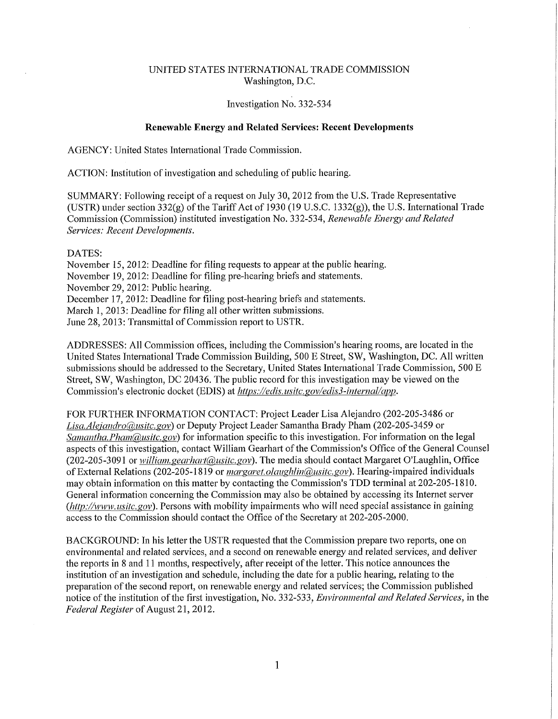## UNITED STATES INTERNATIONAL TRADE COMMISSION Washington, D.C.

## Investigation No. 332-534

## **Renewable Energy and Related Services: Recent Developments**

AGENCY: United States International Trade Commission.

ACTION: Institution of investigation and scheduling of public hearing.

SUMMARY: Following receipt of a request on July 30, 2012 from the U.S. Trade Representative (USTR) under section  $332(g)$  of the Tariff Act of 1930 (19 U.S.C. 1332(g)), the U.S. International Trade Commission (Commission) instituted investigation No. 332-534, *Renewable Energy and Related Services: Recent Developments.* 

## DATES:

November 15, 2012: Deadline for filing requests to appear at the public hearing. November 19, 2012: Deadline for filing pre-hearing briefs and statements. November 29, 2012: Public hearing. December 17, 2012: Deadline for filing post-hearing briefs and statements. March 1, 2013: Deadline for filing all other written submissions. June 28,2013: Transmittal of Commission report to USTR.

ADDRESSES: All Commission offices, including the Commission's hearing rooms, are located in the United States International Trade Commission Building, 500 E Street, SW, Washington, DC. All written submissions should be addressed to the Secretary, United States International Trade Commission, 500 E Street, SW, Washington, DC 20436. The public record for this investigation may be viewed on the Commission's electronic docket (EDIS) at *https://edis.usitc.gov/edis3-internal/app*.

FOR FURTHER INFORMATION CONTACT: Project Leader Lisa Alejandro (202-205-3486 or *L is a. A leiandro(a),nsitc. gov)* or Deputy Project Leader Samantha Brady Pham (202-205-3459 or *Samantha. Pham(@usitc.gov)* for information specific to this investigation. For information on the legal aspects of this investigation, contact William Gearhart of the Commission's Office of the General Counsel (202-205-3091 or *william.gearhart@usitc.gov*). The media should contact Margaret O'Laughlin, Office of External Relations (202-205-1819 or *margaret. olanghlin(a),usitc. gov).* Hearing-impaired individuals may obtain information on this matter by contacting the Commission's TDD terminal at 202-205-1810. General information concerning the Commission may also be obtained by accessing its Internet server *(http:/Avww. usitc.gov).* Persons with mobility impairments who will need special assistance in gaining access to the Commission should contact the Office of the Secretaiy at 202-205-2000.

BACKGROUND: hi his letter the USTR requested that the Commission prepare two reports, one on environmental and related services, and a second on renewable energy and related services, and deliver the reports in 8 and 11 months, respectively, after receipt of the letter. This notice announces the institution of an investigation and schedule, including the date for a public hearing, relating to the preparation of the second report, on renewable energy and related services; the Commission published notice of the institution of the first investigation, No. 332-533 , *Environmental and Related Services,* in the *Federal Register* of August 21, 2012.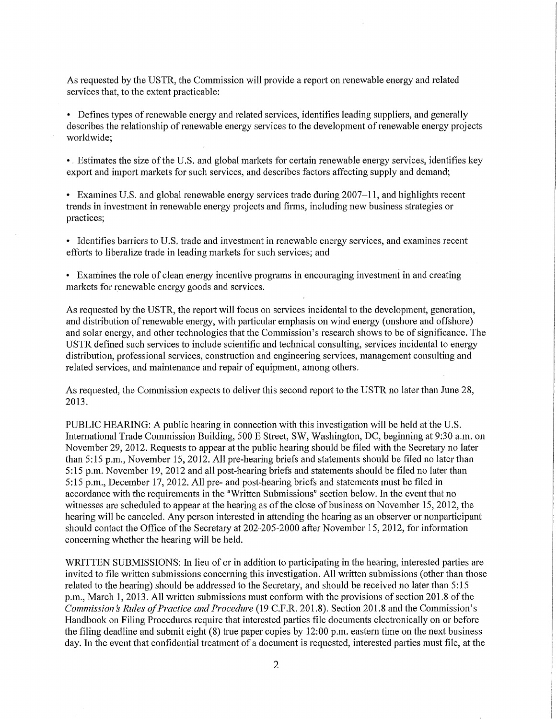As requested by the USTR, the Commission will provide a report on renewable energy and related services that, to the extent practicable:

• Defines types of renewable energy and related services, identifies leading suppliers, and generally describes the relationship of renewable energy services to the development of renewable energy projects worldwide;

•. Estimates the size of the U.S. and global markets for certain renewable energy services, identifies key export and import markets for such services, and describes factors affecting supply and demand;

• Examines U.S. and global renewable energy services trade during 2007-11, and highlights recent trends in investment in renewable energy projects and firms, including new business strategies or practices;

• Identifies barriers to U.S. trade and investment in renewable energy services, and examines recent efforts to liberalize trade in leading markets for such services; and

• Examines the role of clean energy incentive programs in encouraging investment in and creating markets for renewable energy goods and services.

As requested by the USTR, the report will focus on services incidental to the development, generation, and distribution of renewable energy, with particular emphasis on wind energy (onshore and offshore) and solar energy, and other technologies that the Commission's research shows to be of significance. The USTR defined such services to include scientific and technical consulting, seivices incidental to energy distribution, professional services, construction and engineering services, management consulting and related services, and maintenance and repair of equipment, among others.

As requested, the Commission expects to deliver this second report to the USTR no later than June 28, 2013.

PUBLIC HEARING: A public hearing in connection with this investigation will be held at the U.S. International Trade Commission Building, 500 E Street, SW, Washington, DC, beginning at 9:30 a.m. on November 29, 2012. Requests to appear at the public hearing should be filed with the Secretary no later than 5:15 p.m., November 15, 2012. All pre-hearing briefs and statements should be filed no later than 5:15 p.m. November 19, 2012 and all post-hearing briefs and statements should be filed no later than 5:15 p.m., December 17, 2012. All pre- and post-hearing briefs and statements must be filed in accordance with the requirements in the "Written Submissions" section below. In the event that no witnesses are scheduled to appear at the hearing as of the close of business on November 15, 2012, the hearing will be canceled. Any person interested in attending the hearing as an observer or nonparticipant should contact the Office of the Secretary at 202-205-2000 after November 15, 2012, for information concerning whether the hearing will be held.

WRITTEN SUBMISSIONS: In lieu of or in addition to participating in the hearing, interested parties are invited to file written submissions concerning this investigation. All written submissions (other than those related to the hearing) should be addressed to the Secretary, and should be received no later than 5:15 p.m., March 1, 2013. All written submissions must conform with the provisions of section 201.8 of the *Commission's Rules of Practice and Procedure* (19 C.F.R. 201.8). Section 201.8 and the Commission's Handbook on Filing Procedures require that interested parties file documents electronically on or before the filing deadline and submit eight (8) true paper copies by 12:00 p.m. eastern time on the next business day. In the event that confidential treatment of a document is requested, interested parties must file, at the